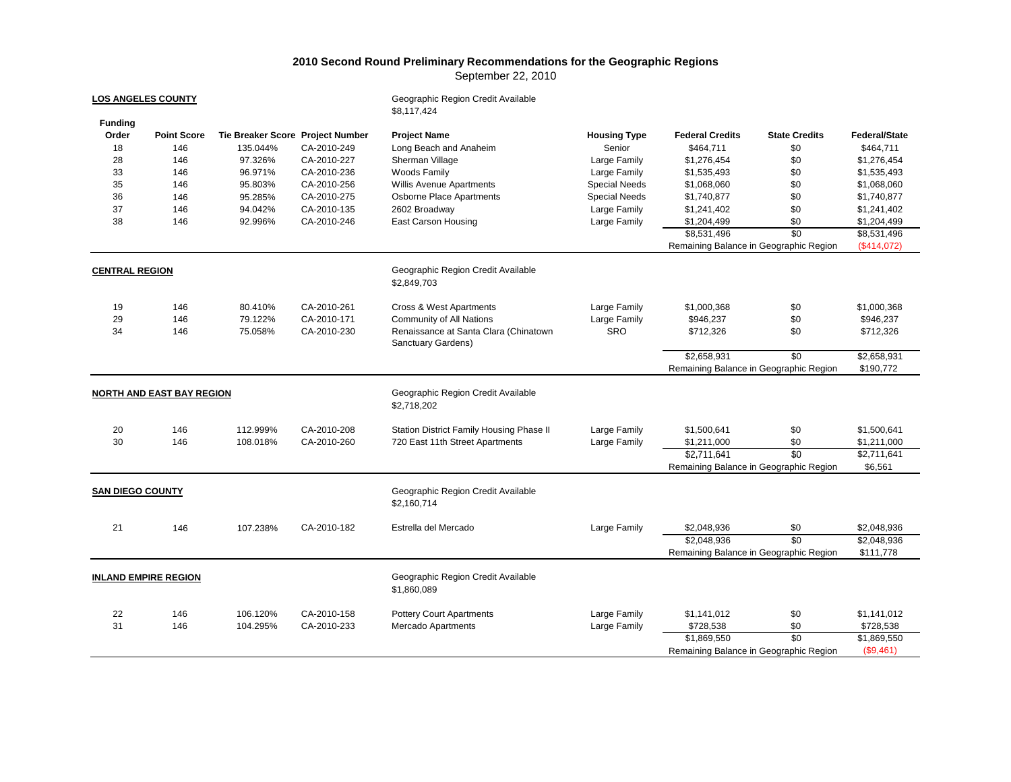## **2010 Second Round Preliminary Recommendations for the Geographic Regions**

September 22, 2010

| <b>LOS ANGELES COUNTY</b><br><b>Funding</b> |                                  |                                  |             | Geographic Region Credit Available<br>\$8,117,424 |                      |                                        |                                        |                      |  |
|---------------------------------------------|----------------------------------|----------------------------------|-------------|---------------------------------------------------|----------------------|----------------------------------------|----------------------------------------|----------------------|--|
| Order                                       | <b>Point Score</b>               | Tie Breaker Score Project Number |             | <b>Project Name</b>                               | <b>Housing Type</b>  | <b>Federal Credits</b>                 | <b>State Credits</b>                   | <b>Federal/State</b> |  |
| 18                                          | 146                              | 135.044%                         | CA-2010-249 | Long Beach and Anaheim                            | Senior               | \$464,711                              | \$0                                    | \$464,711            |  |
| 28                                          | 146                              | 97.326%                          | CA-2010-227 | Sherman Village                                   | Large Family         | \$1,276,454                            | \$0                                    | \$1,276,454          |  |
| 33                                          | 146                              | 96.971%                          | CA-2010-236 | Woods Family                                      | Large Family         | \$1,535,493                            | \$0                                    | \$1,535,493          |  |
| 35                                          | 146                              | 95.803%                          | CA-2010-256 | Willis Avenue Apartments                          | <b>Special Needs</b> | \$1,068,060                            | \$0                                    | \$1,068,060          |  |
| 36                                          | 146                              | 95.285%                          | CA-2010-275 | Osborne Place Apartments                          | <b>Special Needs</b> | \$1,740,877                            | \$0                                    | \$1,740,877          |  |
| 37                                          | 146                              | 94.042%                          | CA-2010-135 | 2602 Broadway                                     | Large Family         | \$1,241,402                            | \$0                                    | \$1,241,402          |  |
| 38                                          | 146                              | 92.996%                          | CA-2010-246 | <b>East Carson Housing</b>                        | Large Family         | \$1,204,499                            | \$0                                    | \$1,204,499          |  |
|                                             |                                  |                                  |             |                                                   |                      | \$8,531,496                            | \$0                                    | \$8,531,496          |  |
|                                             |                                  |                                  |             |                                                   |                      | Remaining Balance in Geographic Region |                                        | (\$414,072)          |  |
| <b>CENTRAL REGION</b>                       |                                  |                                  |             | Geographic Region Credit Available<br>\$2,849,703 |                      |                                        |                                        |                      |  |
| 19                                          | 146                              | 80.410%                          | CA-2010-261 | Cross & West Apartments                           | Large Family         | \$1,000,368                            | \$0                                    | \$1,000,368          |  |
| 29                                          | 146                              | 79.122%                          | CA-2010-171 | Community of All Nations                          | Large Family         | \$946,237                              | \$0                                    | \$946,237            |  |
| 34                                          | 146                              | 75.058%                          | CA-2010-230 | Renaissance at Santa Clara (Chinatown             | <b>SRO</b>           | \$712,326                              | \$0                                    | \$712,326            |  |
|                                             |                                  |                                  |             | Sanctuary Gardens)                                |                      |                                        |                                        |                      |  |
|                                             |                                  |                                  |             |                                                   |                      | \$2,658,931                            | \$0                                    | \$2,658,931          |  |
|                                             |                                  |                                  |             |                                                   |                      |                                        | Remaining Balance in Geographic Region | \$190,772            |  |
|                                             | <b>NORTH AND EAST BAY REGION</b> |                                  |             | Geographic Region Credit Available<br>\$2,718,202 |                      |                                        |                                        |                      |  |
| 20                                          | 146                              | 112.999%                         | CA-2010-208 | Station District Family Housing Phase II          | Large Family         | \$1,500,641                            | \$0                                    | \$1,500,641          |  |
| 30                                          | 146                              | 108.018%                         | CA-2010-260 | 720 East 11th Street Apartments                   | Large Family         | \$1,211,000                            | \$0                                    | \$1,211,000          |  |
|                                             |                                  |                                  |             |                                                   |                      | \$2,711,641                            | \$0                                    | \$2,711,641          |  |
|                                             |                                  |                                  |             |                                                   |                      |                                        | Remaining Balance in Geographic Region | \$6,561              |  |
|                                             |                                  |                                  |             |                                                   |                      |                                        |                                        |                      |  |
| <b>SAN DIEGO COUNTY</b>                     |                                  |                                  |             | Geographic Region Credit Available<br>\$2,160,714 |                      |                                        |                                        |                      |  |
| 21                                          | 146                              | 107.238%                         | CA-2010-182 | Estrella del Mercado                              | Large Family         | \$2,048,936                            | \$0                                    | \$2,048,936          |  |
|                                             |                                  |                                  |             |                                                   |                      | \$2,048,936                            | $\overline{50}$                        | \$2,048,936          |  |
|                                             |                                  |                                  |             |                                                   |                      | Remaining Balance in Geographic Region |                                        | \$111,778            |  |
| <b>INLAND EMPIRE REGION</b>                 |                                  |                                  |             | Geographic Region Credit Available<br>\$1,860,089 |                      |                                        |                                        |                      |  |
| 22                                          | 146                              | 106.120%                         | CA-2010-158 | <b>Pottery Court Apartments</b>                   | Large Family         | \$1,141,012                            | \$0                                    | \$1,141,012          |  |
| 31                                          | 146                              | 104.295%                         | CA-2010-233 | <b>Mercado Apartments</b>                         | Large Family         | \$728,538                              | \$0                                    | \$728,538            |  |
|                                             |                                  |                                  |             |                                                   |                      | \$1,869,550                            | $\overline{50}$                        | \$1,869,550          |  |
|                                             |                                  |                                  |             |                                                   |                      |                                        | Remaining Balance in Geographic Region | (\$9,461)            |  |